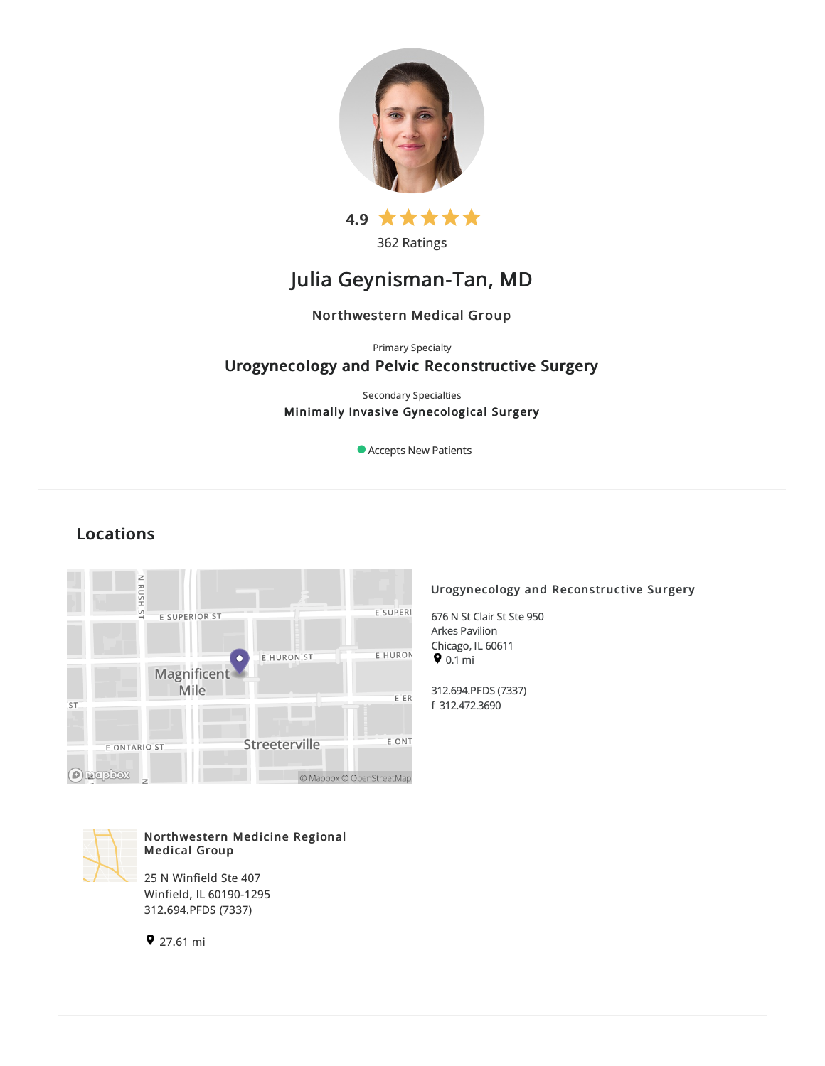

362 Ratings

# Julia Geynisman-Tan, MD

### Northwestern Medical Group

Primary Specialty

### Urogynecology and Pelvic Reconstructive Surgery

Secondary Specialties Minimally Invasive Gynecological Surgery

Accepts New Patients

## Locations



### Northwestern Medicine Regional Medical Group

25 N Winfield Ste 407 Winfield, IL60190-1295 312.694.PFDS (7337)

27.61 mi

### Urogynecology and Reconstructive Surgery

676 N St Clair St Ste 950 Arkes Pavilion Chicago, IL 60611  $\bullet$  0.1 mi

312.694.PFDS(7337) f 312.472.3690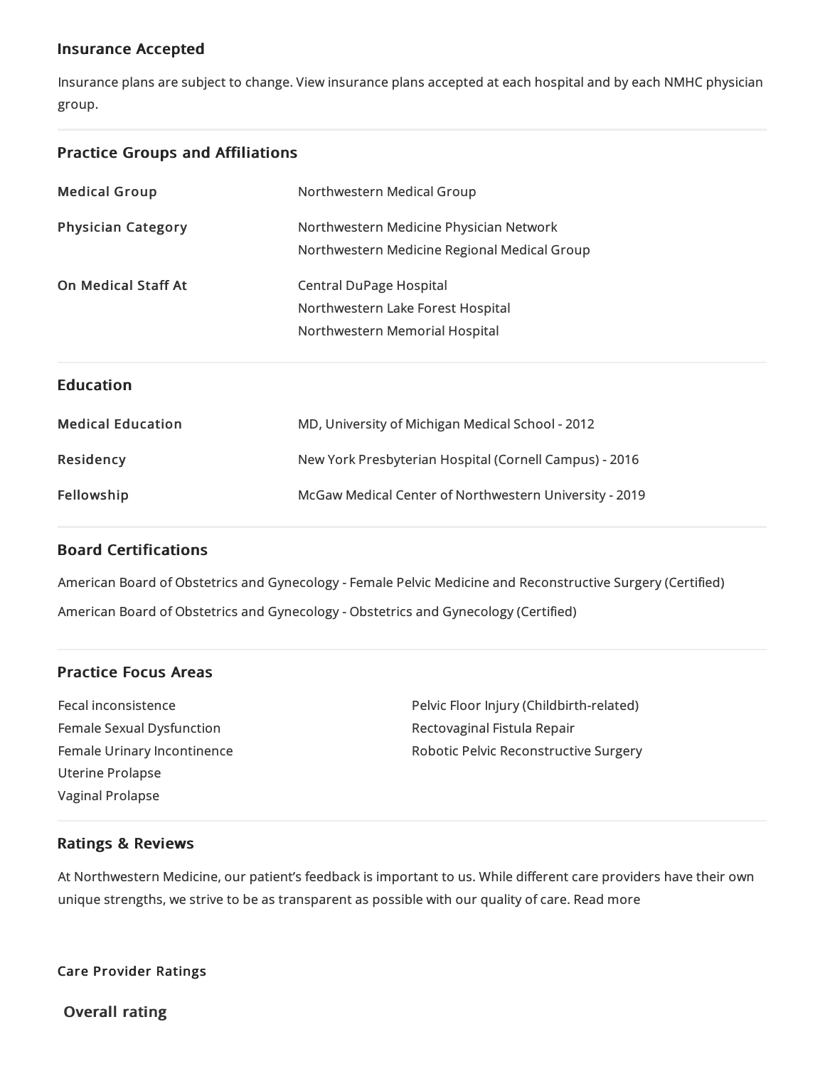### Insurance Accepted

Insurance plans are subject to change. View [insurance](https://www.nm.org/patients-and-visitors/billing-and-insurance/insurance-information/accepted-insurance-plans) plans accepted at each hospital and by each NMHC physician group.

### Practice Groups and Affiliations

| <b>Medical Group</b>       | Northwestern Medical Group                                                                     |
|----------------------------|------------------------------------------------------------------------------------------------|
| <b>Physician Category</b>  | Northwestern Medicine Physician Network<br>Northwestern Medicine Regional Medical Group        |
| <b>On Medical Staff At</b> | Central DuPage Hospital<br>Northwestern Lake Forest Hospital<br>Northwestern Memorial Hospital |
| <b>Education</b>           |                                                                                                |
| <b>Medical Education</b>   | MD, University of Michigan Medical School - 2012                                               |
|                            |                                                                                                |
| Residency                  | New York Presbyterian Hospital (Cornell Campus) - 2016                                         |

### Board Certifications

American Board of Obstetrics and Gynecology - Female Pelvic Medicine and Reconstructive Surgery (Certified) American Board of Obstetrics and Gynecology - Obstetrics and Gynecology (Certified)

### Practice Focus Areas

Fecal inconsistence Female Sexual Dysfunction Female Urinary Incontinence Uterine Prolapse Vaginal Prolapse

Pelvic Floor Injury (Childbirth-related) Rectovaginal Fistula Repair Robotic Pelvic Reconstructive Surgery

### Ratings & Reviews

At Northwestern Medicine, our patient's feedback is important to us. While different care providers have their own unique strengths, we strive to be as transparent as possible with our quality of care. Read more

Care Provider Ratings

Overall rating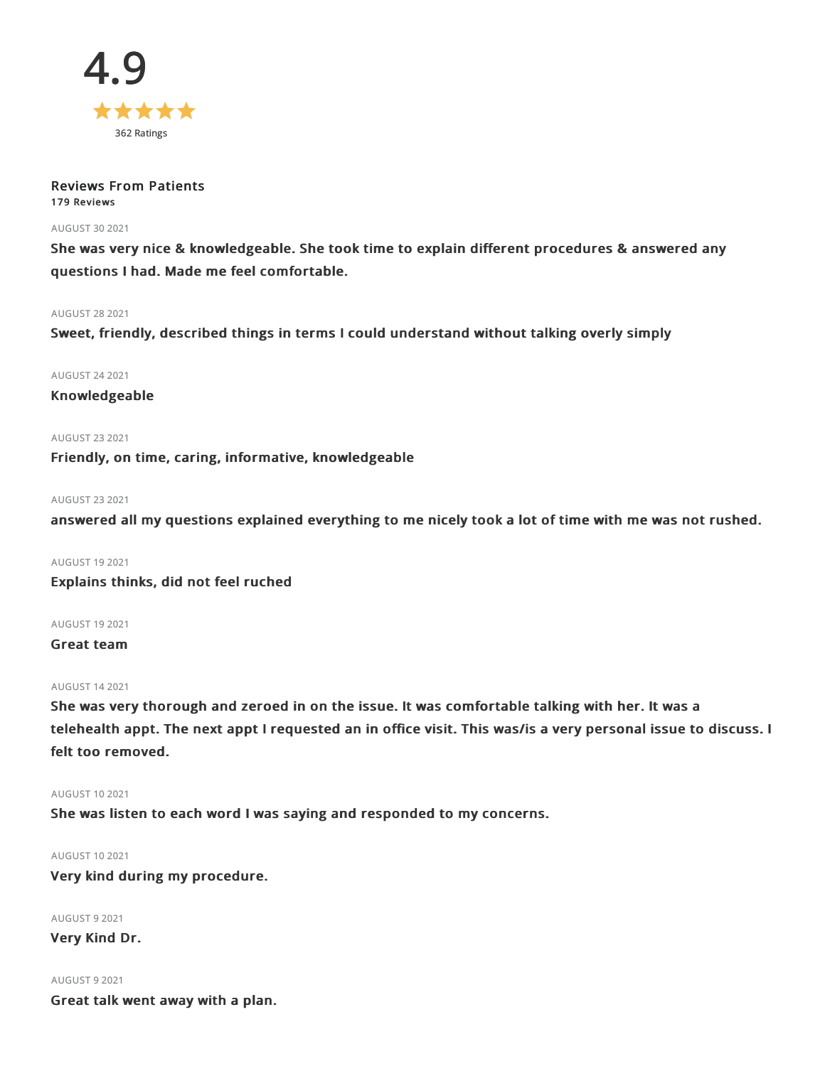

### Reviews From Patients 179 Reviews

#### AUGUST 302021

She was very nice & knowledgeable. She took time to explain different procedures & answered any questions I had. Made me feel comfortable.

#### AUGUST 282021

Sweet, friendly, described things in terms I could understand without talking overly simply

AUGUST 242021

Knowledgeable

AUGUST 232021 Friendly, on time, caring, informative, knowledgeable

#### AUGUST 232021

answered all my questions explained everything to me nicely took a lot of time with me was not rushed.

AUGUST 192021 Explains thinks, did not feel ruched

AUGUST 192021

Great team

#### AUGUST 142021

She was very thorough and zeroed in on the issue. It was comfortable talking with her. It was a telehealth appt. The next appt I requested an in office visit. This was/is a very personal issue to discuss. I felt too removed.

#### AUGUST 102021

She was listen to each word I was saying and responded to my concerns.

AUGUST 102021

Very kind during my procedure.

AUGUST 92021

Very Kind Dr.

AUGUST 92021 Great talk went away with a plan.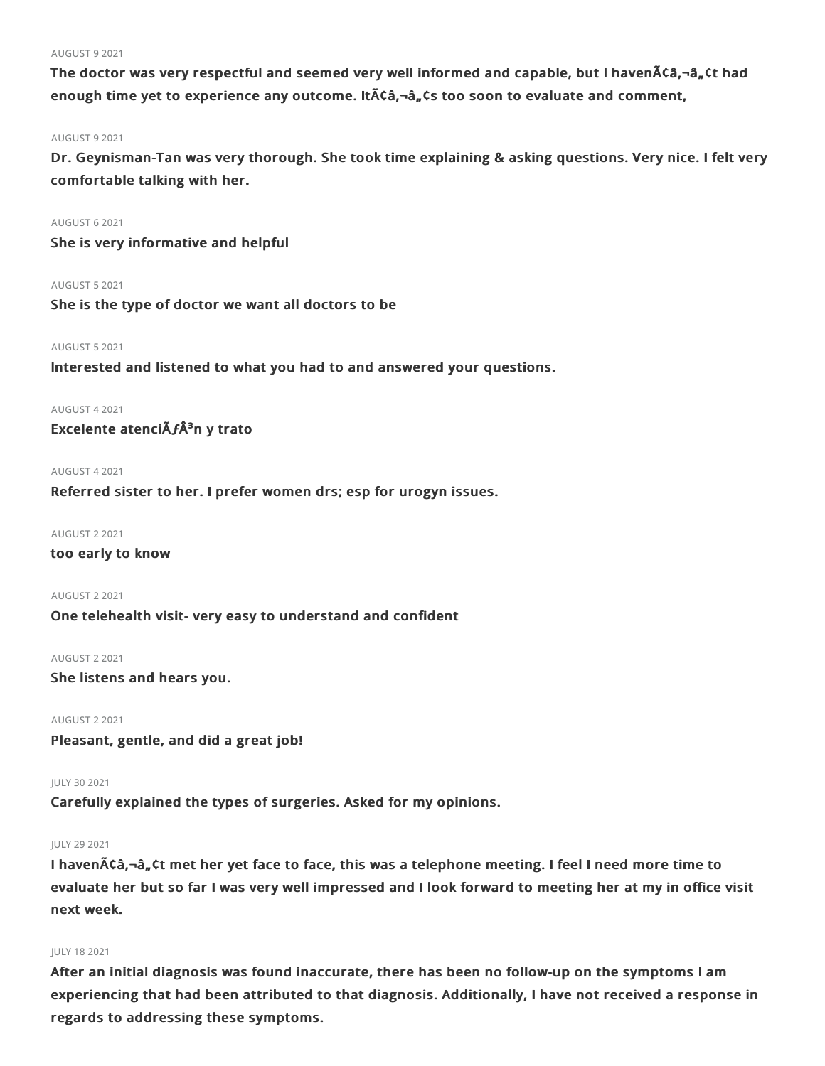#### AUGUST 92021

The doctor was very respectful and seemed very well informed and capable, but I haven $\tilde{A}$ Ca,- $\hat{a}_n$ Ct had enough time yet to experience any outcome. ItACa,-a, Cs too soon to evaluate and comment,

#### AUGUST 92021

Dr. Geynisman-Tan was very thorough. She took time explaining & asking questions. Very nice. I felt very comfortable talking with her.

#### AUGUST 62021

She is very informative and helpful

#### AUGUST 52021

She is the type of doctor we want all doctors to be

#### AUGUST 52021

Interested and listened to what you had to and answered your questions.

#### AUGUST 42021

Excelente atencià fÂ<sup>3</sup>n y trato

#### AUGUST 42021

Referred sister to her. I prefer women drs; esp for urogyn issues.

#### AUGUST 22021

too early to know

AUGUST 22021 One telehealth visit- very easy to understand and confident

### AUGUST 22021

She listens and hears you.

AUGUST 22021 Pleasant, gentle, and did a great job!

JULY 302021

Carefully explained the types of surgeries. Asked for my opinions.

#### JULY 292021

I haven $\tilde{A}$ Ca,-a, Ct met her yet face to face, this was a telephone meeting. I feel I need more time to evaluate her but so far I was very well impressed and I look forward to meeting her at my in office visit next week.

#### JULY 182021

After an initial diagnosis was found inaccurate, there has been no follow-up on the symptoms I am experiencing that had been attributed to that diagnosis. Additionally, I have not received a response in regards to addressing these symptoms.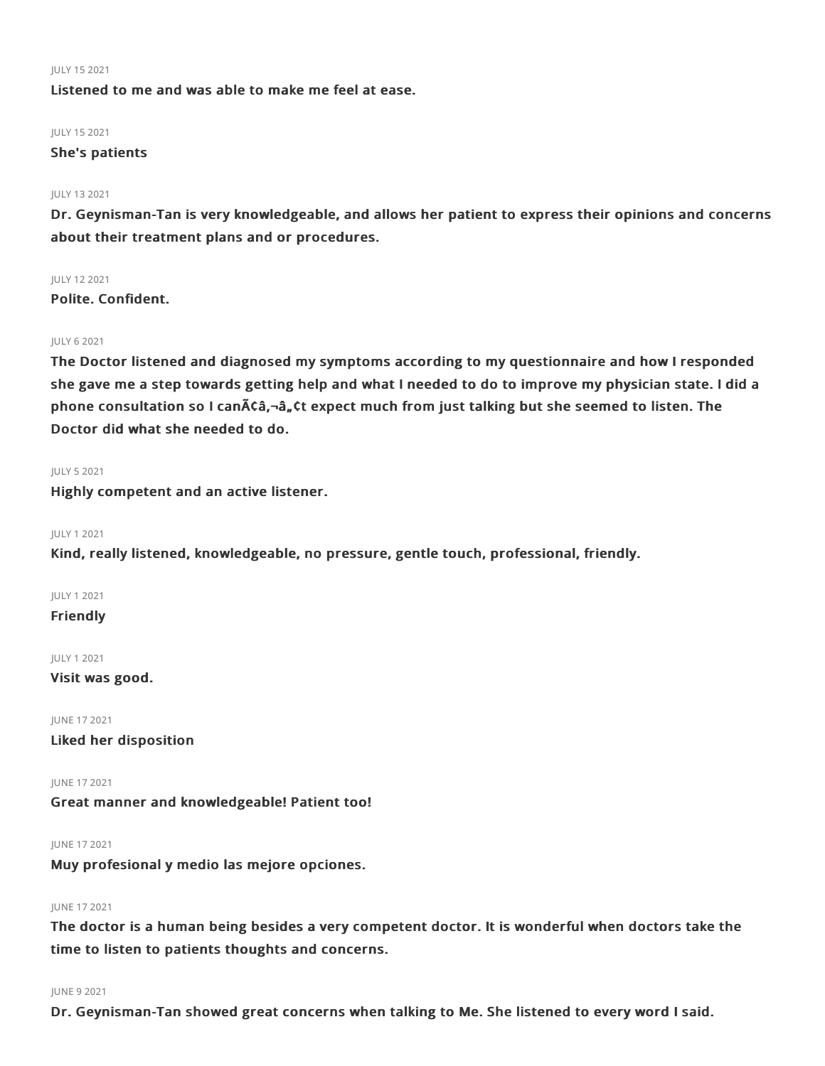#### JULY 152021

Listened to me and was able to make me feel at ease.

### JULY 152021

#### She's patients

#### JULY 132021

Dr. Geynisman-Tan is very knowledgeable, and allows her patient to express their opinions and concerns about their treatment plans and or procedures.

#### JULY 122021

Polite. Confident.

#### JULY 62021

The Doctor listened and diagnosed my symptoms according to my questionnaire and how I responded she gave me a step towards getting help and what I needed to do to improve my physician state. I did a phone consultation so I can $\tilde{A}$ câ, $-\hat{a}$ , Ct expect much from just talking but she seemed to listen. The Doctor did what she needed to do.

#### JULY 52021

Highly competent and an active listener.

#### JULY 12021

Kind, really listened, knowledgeable, no pressure, gentle touch, professional, friendly.

#### JULY 12021

**Friendly** 

#### JULY 12021

Visit was good.

JUNE 172021 Liked her disposition

JUNE 172021 Great manner and knowledgeable! Patient too!

JUNE 172021

Muy profesional y medio las mejore opciones.

#### JUNE 172021

The doctor is a human being besides a very competent doctor. It is wonderful when doctors take the time to listen to patients thoughts and concerns.

#### JUNE 92021

Dr. Geynisman-Tan showed great concerns when talking to Me. She listened to every word I said.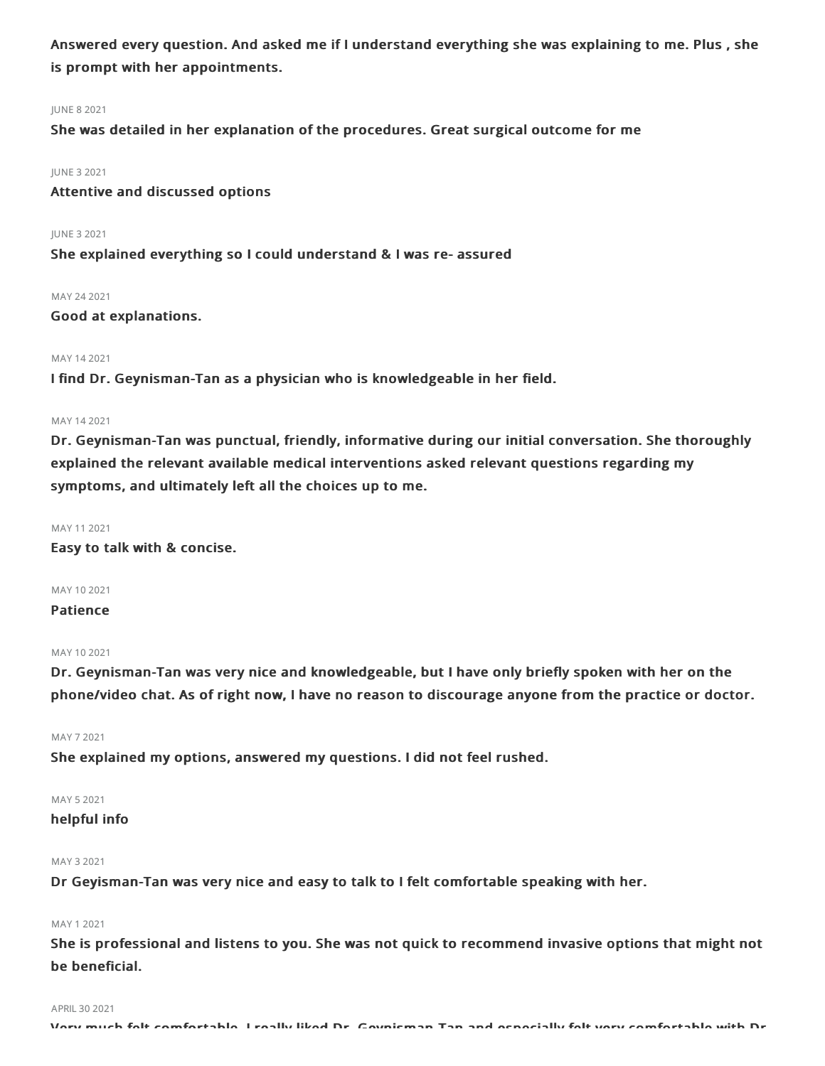Answered every question. And asked me if I understand everything she was explaining to me. Plus , she is prompt with her appointments.

#### JUNE 82021

She was detailed in her explanation of the procedures. Great surgical outcome for me

JUNE 32021

Attentive and discussed options

JUNE 32021 She explained everything so I could understand & I was re- assured

MAY 242021

Good at explanations.

#### MAY 142021

I find Dr. Geynisman-Tan as a physician who is knowledgeable in her field.

#### MAY 142021

Dr. Geynisman-Tan was punctual, friendly, informative during our initial conversation. She thoroughly explained the relevant available medical interventions asked relevant questions regarding my symptoms, and ultimately left all the choices up to me.

#### MAY 112021

Easy to talk with & concise.

MAY 102021

#### Patience

#### MAY 102021

Dr. Geynisman-Tan was very nice and knowledgeable, but I have only briefly spoken with her on the phone/video chat. As of right now, I have no reason to discourage anyone from the practice or doctor.

MAY 72021

She explained my options, answered my questions. I did not feel rushed.

### MAY 52021

#### helpful info

#### MAY 32021

Dr Geyisman-Tan was very nice and easy to talk to I felt comfortable speaking with her.

#### MAY 12021

She is professional and listens to you. She was not quick to recommend invasive options that might not be beneficial.

#### APRIL 30 2021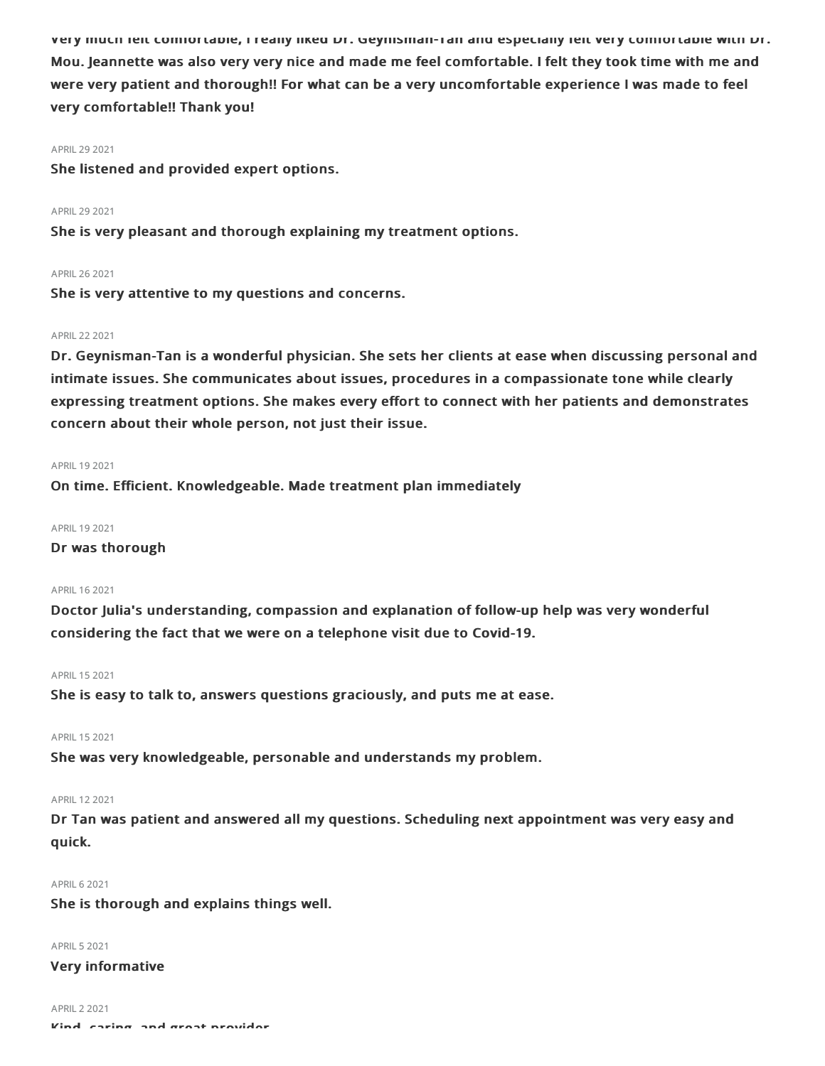Very much felt comfortable, I really liked Dr. Geynisman-Tan and especially felt very comfortable with Dr. Mou. Jeannette was also very very nice and made me feel comfortable. I felt they took time with me and were very patient and thorough!! For what can be a very uncomfortable experience I was made to feel very comfortable!! Thank you!

#### APRIL 29 2021

She listened and provided expert options.

#### APRIL 29 2021

She is very pleasant and thorough explaining my treatment options.

#### APRIL262021

She is very attentive to my questions and concerns.

#### APRIL222021

Dr. Geynisman-Tan is a wonderful physician. She sets her clients at ease when discussing personal and intimate issues. She communicates about issues, procedures in a compassionate tone while clearly expressing treatment options. She makes every effort to connect with her patients and demonstrates concern about their whole person, not just their issue.

#### APRIL 19 2021

On time. Efficient. Knowledgeable. Made treatment plan immediately

#### APRIL 19 2021

Dr was thorough

#### APRIL162021

Doctor Julia's understanding, compassion and explanation of follow-up help was very wonderful considering the fact that we were on a telephone visit due to Covid-19.

#### APRIL152021

She is easy to talk to, answers questions graciously, and puts me at ease.

#### APRIL 15 2021

She was very knowledgeable, personable and understands my problem.

#### APRIL122021

Dr Tan was patient and answered all my questions. Scheduling next appointment was very easy and quick.

#### **APRIL 6 2021**

She is thorough and explains things well.

#### **APRIL 5 2021**

#### Very informative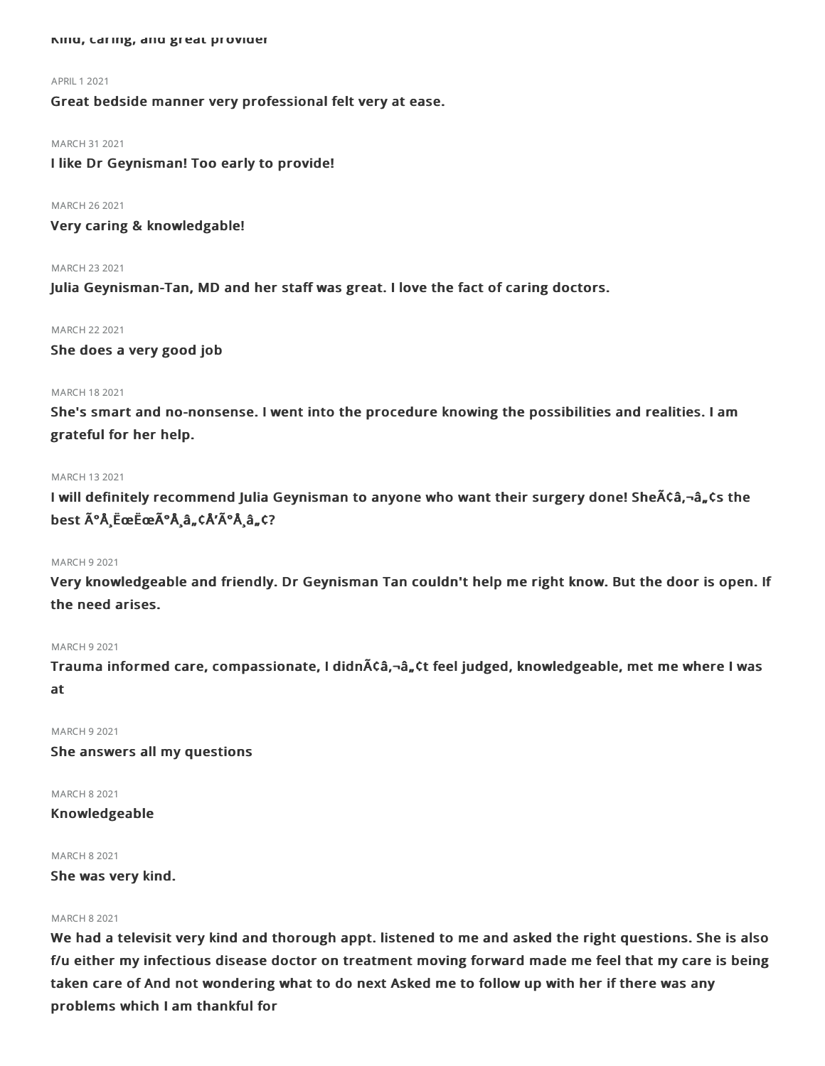#### Kind, caring, and great provider

#### APRIL 1 2021

Great bedside manner very professional felt very at ease.

#### MARCH 31 2021

I like Dr Geynisman! Too early to provide!

MARCH 262021

Very caring & knowledgable!

#### MARCH 232021

Julia Geynisman-Tan, MD and her staff was great. I love the fact of caring doctors.

#### MARCH 222021

She does a very good job

#### MARCH 182021

She's smart and no-nonsense. I went into the procedure knowing the possibilities and realities. I am grateful for her help.

#### MARCH 132021

I will definitely recommend Julia Geynisman to anyone who want their surgery done! She $\tilde{A}$ Ca, $-\tilde{a}$ , Cs the best  $\tilde{A}^{\circ}$ Å EœËœÃ°Å â "¢Å'ðÅ â "¢?

#### MARCH 92021

Very knowledgeable and friendly. Dr Geynisman Tan couldn't help me right know. But the door is open. If the need arises.

#### MARCH 92021

Trauma informed care, compassionate, I didnââ,¬â"¢t feel judged, knowledgeable, met me where I was at

MARCH 92021

She answers all my questions

MARCH 82021 Knowledgeable

### MARCH 82021

She was very kind.

### MARCH 82021

We had a televisit very kind and thorough appt. listened to me and asked the right questions. She is also f/u either my infectious disease doctor on treatment moving forward made me feel that my care is being taken care of And not wondering what to do next Asked me to follow up with her if there was any problems which I am thankful for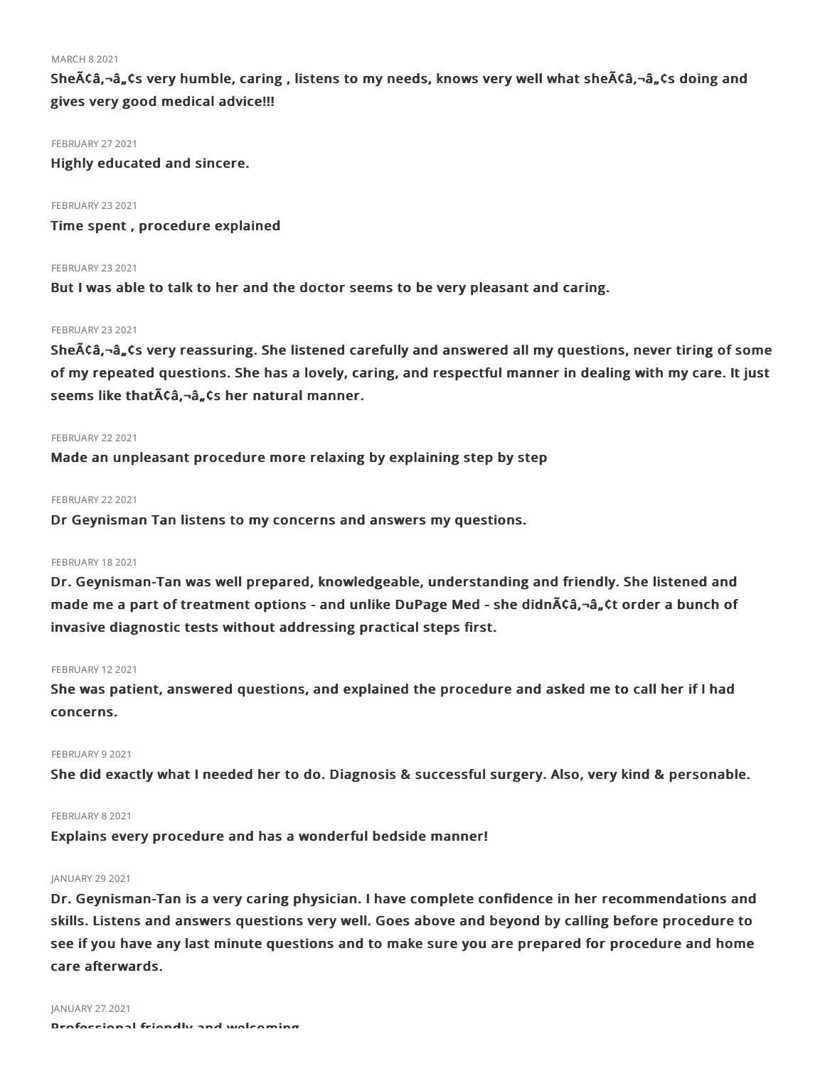MARCH 82021

SheÃCâ,¬â"Cs very humble, caring, listens to my needs, knows very well what sheÃCâ,¬â"Cs doing and gives very good medical advice!!!

**FEBRUARY 27 2021** 

Highly educated and sincere.

**FEBRUARY 23 2021** Time spent , procedure explained

#### **FEBRUARY 23 2021**

But I was able to talk to her and the doctor seems to be very pleasant and caring.

#### **FEBRUARY 23 2021**

She $A$ Ca, $\neg$ a, $\zeta$ s very reassuring. She listened carefully and answered all my questions, never tiring of some of my repeated questions. She has a lovely, caring, and respectful manner in dealing with my care. It just seems like that A C a, - a, C s her natural manner.

#### **FEBRUARY 22 2021**

Made an unpleasant procedure more relaxing by explaining step by step

#### FEBRUARY 22 2021

Dr Geynisman Tan listens to my concerns and answers my questions.

#### FEBRUARY 18 2021

Dr. Geynisman-Tan was well prepared, knowledgeable, understanding and friendly. She listened and made me a part of treatment options - and unlike DuPage Med - she didn $\tilde{A}$ câ,-â, ¢t order a bunch of invasive diagnostic tests without addressing practical steps first.

#### FEBRUARY 12 2021

She was patient, answered questions, and explained the procedure and asked me to call her if I had concerns.

#### FEBRUARY 9 2021

She did exactly what I needed her to do. Diagnosis & successful surgery. Also, very kind & personable.

#### FEBRUARY 8 2021

Explains every procedure and has a wonderful bedside manner!

#### JANUARY 29 2021

Dr. Geynisman-Tan is a very caring physician. I have complete confidence in her recommendations and skills. Listens and answers questions very well. Goes above and beyond by calling before procedure to see if you have any last minute questions and to make sure you are prepared for procedure and home care afterwards.